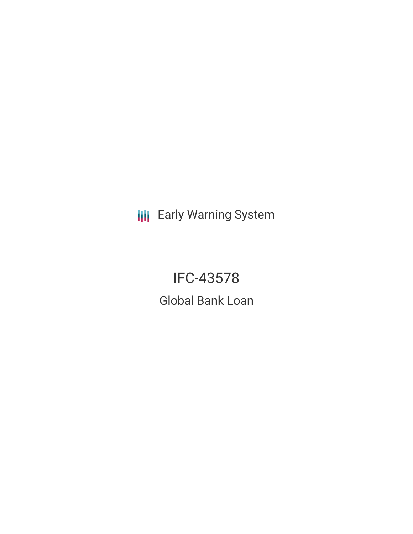**III** Early Warning System

IFC-43578 Global Bank Loan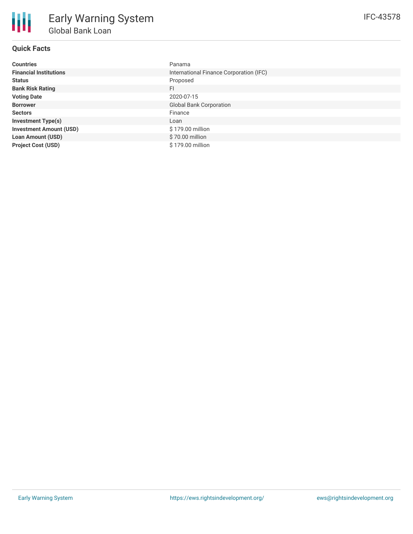# **Quick Facts**

| <b>Countries</b>               | Panama                                  |
|--------------------------------|-----------------------------------------|
| <b>Financial Institutions</b>  | International Finance Corporation (IFC) |
| <b>Status</b>                  | Proposed                                |
| <b>Bank Risk Rating</b>        | FI                                      |
| <b>Voting Date</b>             | 2020-07-15                              |
| <b>Borrower</b>                | <b>Global Bank Corporation</b>          |
| <b>Sectors</b>                 | Finance                                 |
| <b>Investment Type(s)</b>      | Loan                                    |
| <b>Investment Amount (USD)</b> | \$179.00 million                        |
| <b>Loan Amount (USD)</b>       | \$70.00 million                         |
| <b>Project Cost (USD)</b>      | \$179.00 million                        |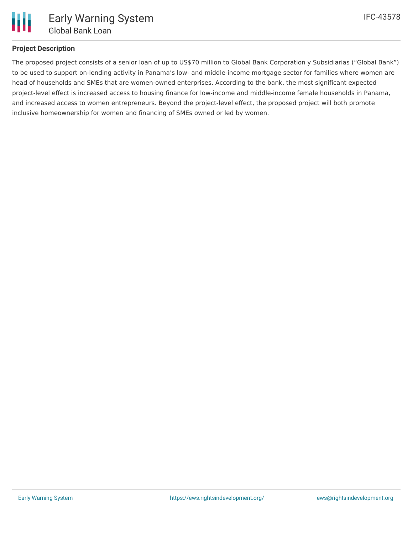

# **Project Description**

The proposed project consists of a senior loan of up to US\$70 million to Global Bank Corporation y Subsidiarias ("Global Bank") to be used to support on-lending activity in Panama's low- and middle-income mortgage sector for families where women are head of households and SMEs that are women-owned enterprises. According to the bank, the most significant expected project-level effect is increased access to housing finance for low-income and middle-income female households in Panama, and increased access to women entrepreneurs. Beyond the project-level effect, the proposed project will both promote inclusive homeownership for women and financing of SMEs owned or led by women.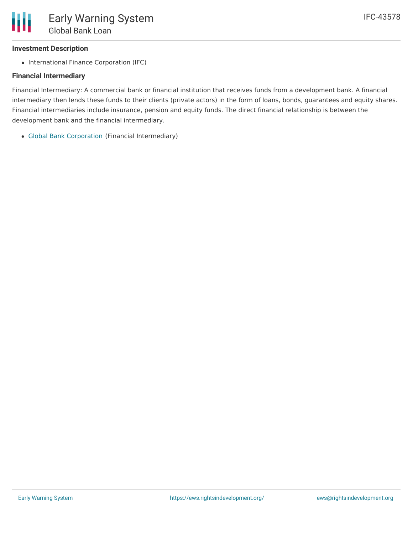# **Investment Description**

• International Finance Corporation (IFC)

# **Financial Intermediary**

Financial Intermediary: A commercial bank or financial institution that receives funds from a development bank. A financial intermediary then lends these funds to their clients (private actors) in the form of loans, bonds, guarantees and equity shares. Financial intermediaries include insurance, pension and equity funds. The direct financial relationship is between the development bank and the financial intermediary.

Global Bank [Corporation](file:///actor/1430/) (Financial Intermediary)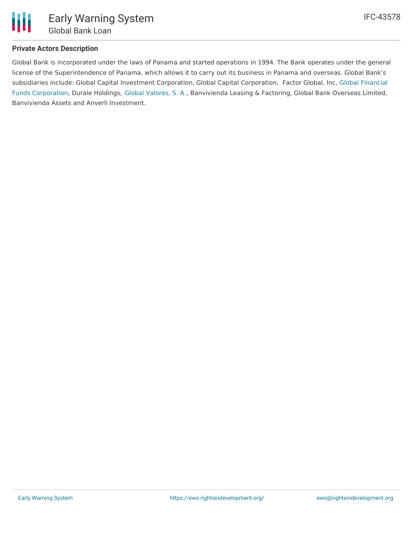

#### **Private Actors Description**

Global Bank is incorporated under the laws of Panama and started operations in 1994. The Bank operates under the general license of the Superintendence of Panama, which allows it to carry out its business in Panama and overseas. Global Bank's subsidiaries include: Global Capital Investment [Corporation,](https://www.globalbank.com.pa/es/banca-privada/global-financial-funds) Global Capital Corporation, Factor Global, Inc, Global Financial Funds Corporation, Durale Holdings, Global [Valores,](https://www.globalbank.com.pa/es/global-valores/conozcanos/quienes-somos) S. A., Banvivienda Leasing & Factoring, Global Bank Overseas Limited, Banvivienda Assets and Anverli Investment.